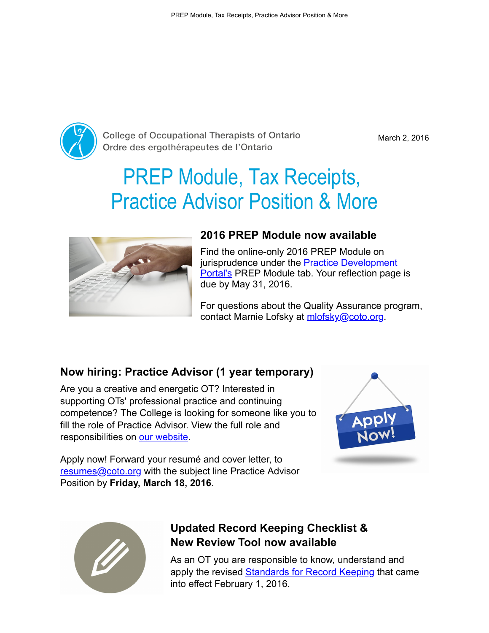

**College of Occupational Therapists of Ontario** Ordre des ergothérapeutes de l'Ontario

March 2, 2016

# PREP Module, Tax Receipts, Practice Advisor Position & More



#### 2016 PREP Module now available

Find the online-only 2016 PREP Module on jurisprudence under the **Practice Development Portal's PREP Module tab. Your reflection page is** due by May 31, 2016.

For questions about the Quality Assurance program, contact Marnie Lofsky at [mlofsky@coto.org](mailto:mlofsky@coto.org).

## Now hiring: Practice Advisor (1 year temporary)

Are you a creative and energetic OT? Interested in supporting OTs' professional practice and continuing competence? The College is looking for someone like you to fill the role of Practice Advisor. View the full role and responsibilities on [our website](http://occupationaltherapist.coto.org/wp-content/uploads/2016/02/Practice-Advisor-Job-Posting-February-2016.pdf).



Apply now! Forward your resumé and cover letter, to [resumes@coto.org](mailto:resumes@coto.org) with the subject line Practice Advisor Position by Friday, March 18, 2016.



## Updated Record Keeping Checklist & New Review Tool now available

As an OT you are responsible to know, understand and apply the revised **Standards for Record Keeping** that came into effect February 1, 2016.